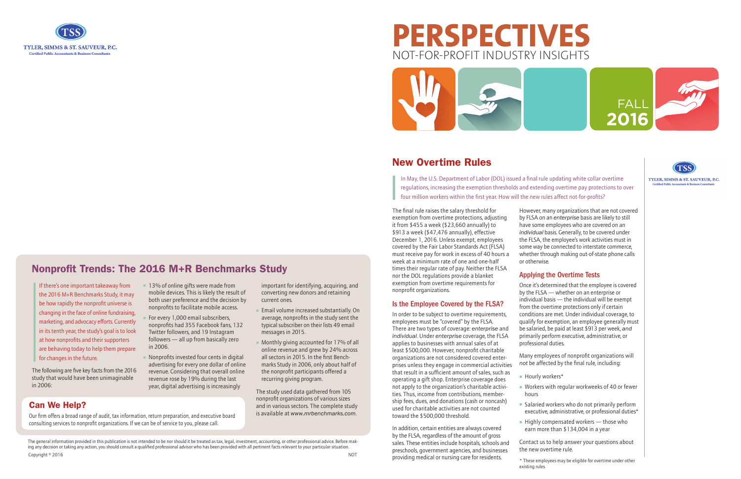

## **PERSPECTIVES** NOT-FOR-PROFIT INDUSTRY INSIGHTS





The general information provided in this publication is not intended to be nor should it be treated as tax, legal, investment, accounting, or other professional advice. Before making any decision or taking any action, you should consult a qualified professional advisor who has been provided with all pertinent facts relevant to your particular situation. Copyright © 2016 NOT

#### Can We Help?

Our firm offers a broad range of audit, tax information, return preparation, and executive board consulting services to nonprofit organizations. If we can be of service to you, please call.

#### New Overtime Rules

In May, the U.S. Department of Labor (DOL) issued a final rule updating white collar overtime regulations, increasing the exemption thresholds and extending overtime pay protections to over four million workers within the first year. How will the new rules affect not-for-profits?

The final rule raises the salary threshold for exemption from overtime protections, adjusting it from \$455 a week (\$23,660 annually) to \$913 a week (\$47,476 annually), effective December 1, 2016. Unless exempt, employees covered by the Fair Labor Standards Act (FLSA) must receive pay for work in excess of 40 hours a week at a minimum rate of one and one-half times their regular rate of pay. Neither the FLSA nor the DOL regulations provide a blanket exemption from overtime requirements for nonprofit organizations.

#### Is the Employee Covered by the FLSA?

- 
- Hourly workers\*
- hours
- 
- 

■ Salaried workers who do not primarily perform executive, administrative, or professional duties\*

 $\blacksquare$  Highly compensated workers — those who earn more than \$134,004 in a year

In order to be subject to overtime requirements, employees must be "covered" by the FLSA. There are two types of coverage: *enterprise* and *individual*. Under *enterprise* coverage, the FLSA applies to businesses with annual sales of at least \$500,000. However, nonprofit charitable organizations are not considered covered enterprises unless they engage in commercial activities that result in a sufficient amount of sales, such as operating a gift shop. Enterprise coverage does not apply to the organization's charitable activities. Thus, income from contributions, membership fees, dues, and donations (cash or noncash) used for charitable activities are not counted toward the \$500,000 threshold.

The following are five key facts from the 2016 study that would have been unimaginable in 2006:

■ 13% of online gifts were made from mobile devices. This is likely the result of both user preference and the decision by nonprofits to facilitate mobile access. For every 1,000 email subscribers. nonprofits had 355 Facebook fans, 132 Twitter followers, and 19 Instagram followers — all up from basically zero

> In addition, certain entities are always covered by the FLSA, regardless of the amount of gross sales. These entities include hospitals, schools and preschools, government agencies, and businesses providing medical or nursing care for residents.

■ Nonprofits invested four cents in digital advertising for every one dollar of online revenue. Considering that overall online revenue rose by 19% during the last year, digital advertising is increasingly

**Email volume increased substantially. On** average, nonprofits in the study sent the typical subscriber on their lists 49 email

■ Monthly giving accounted for 17% of all online revenue and grew by 24% across all sectors in 2015. In the first Benchmarks Study in 2006, only about half of the nonprofit participants offered a

However, many organizations that are not covered by FLSA on an *enterprise* basis are likely to still have some employees who are covered on an *individual* basis. Generally, to be covered under the FLSA, the employee's work activities must in some way be connected to interstate commerce, whether through making out-of-state phone calls

# or otherwise.

#### Applying the Overtime Tests

Once it's determined that the employee is covered by the FLSA — whether on an enterprise or individual basis — the individual will be exempt from the overtime protections only if certain conditions are met. Under individual coverage, to qualify for exemption, an employee generally must be salaried, be paid at least \$913 per week, *and* primarily perform executive, administrative, or

Many employees of nonprofit organizations will *not* be affected by the final rule, including:

 $\blacksquare$  Workers with regular workweeks of 40 or fewer

professional duties.

Contact us to help answer your questions about the new overtime rule.

\* These employees may be eligible for overtime under other



TYLER, SIMMS & ST. SAUVEUR, P.C.

### existing rules.

#### Nonprofit Trends: The 2016 M+R Benchmarks Study

If there's one important takeaway from the 2016 M+R Benchmarks Study, it may be how rapidly the nonprofit universe is changing in the face of online fundraising, marketing, and advocacy efforts. Currently in its tenth year, the study's goal is to look at how nonprofits and their supporters are behaving today to help them prepare for changes in the future.

in 2006.

important for identifying, acquiring, and converting new donors and retaining

current ones.

messages in 2015.

recurring giving program.

The study used data gathered from 105 nonprofit organizations of various sizes and in various sectors. The complete study is available at *www.mrbenchmarks.com*.